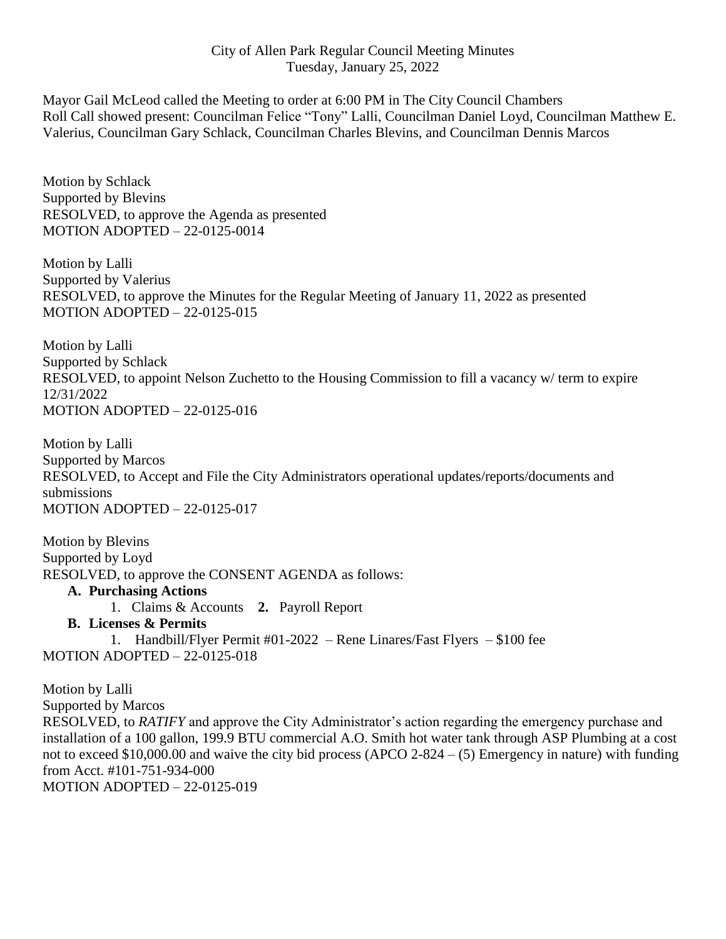## City of Allen Park Regular Council Meeting Minutes Tuesday, January 25, 2022

Mayor Gail McLeod called the Meeting to order at 6:00 PM in The City Council Chambers Roll Call showed present: Councilman Felice "Tony" Lalli, Councilman Daniel Loyd, Councilman Matthew E. Valerius, Councilman Gary Schlack, Councilman Charles Blevins, and Councilman Dennis Marcos

Motion by Schlack Supported by Blevins RESOLVED, to approve the Agenda as presented MOTION ADOPTED – 22-0125-0014

Motion by Lalli Supported by Valerius RESOLVED, to approve the Minutes for the Regular Meeting of January 11, 2022 as presented MOTION ADOPTED – 22-0125-015

Motion by Lalli Supported by Schlack RESOLVED, to appoint Nelson Zuchetto to the Housing Commission to fill a vacancy w/ term to expire 12/31/2022 MOTION ADOPTED – 22-0125-016

Motion by Lalli Supported by Marcos RESOLVED, to Accept and File the City Administrators operational updates/reports/documents and submissions MOTION ADOPTED – 22-0125-017

Motion by Blevins Supported by Loyd RESOLVED, to approve the CONSENT AGENDA as follows:

## **A. Purchasing Actions**

1. Claims & Accounts **2.** Payroll Report

## **B. Licenses & Permits**

1. Handbill/Flyer Permit #01-2022 – Rene Linares/Fast Flyers – \$100 fee MOTION ADOPTED – 22-0125-018

Motion by Lalli Supported by Marcos RESOLVED, to *RATIFY* and approve the City Administrator's action regarding the emergency purchase and installation of a 100 gallon, 199.9 BTU commercial A.O. Smith hot water tank through ASP Plumbing at a cost not to exceed \$10,000.00 and waive the city bid process (APCO 2-824 – (5) Emergency in nature) with funding from Acct. #101-751-934-000 MOTION ADOPTED – 22-0125-019